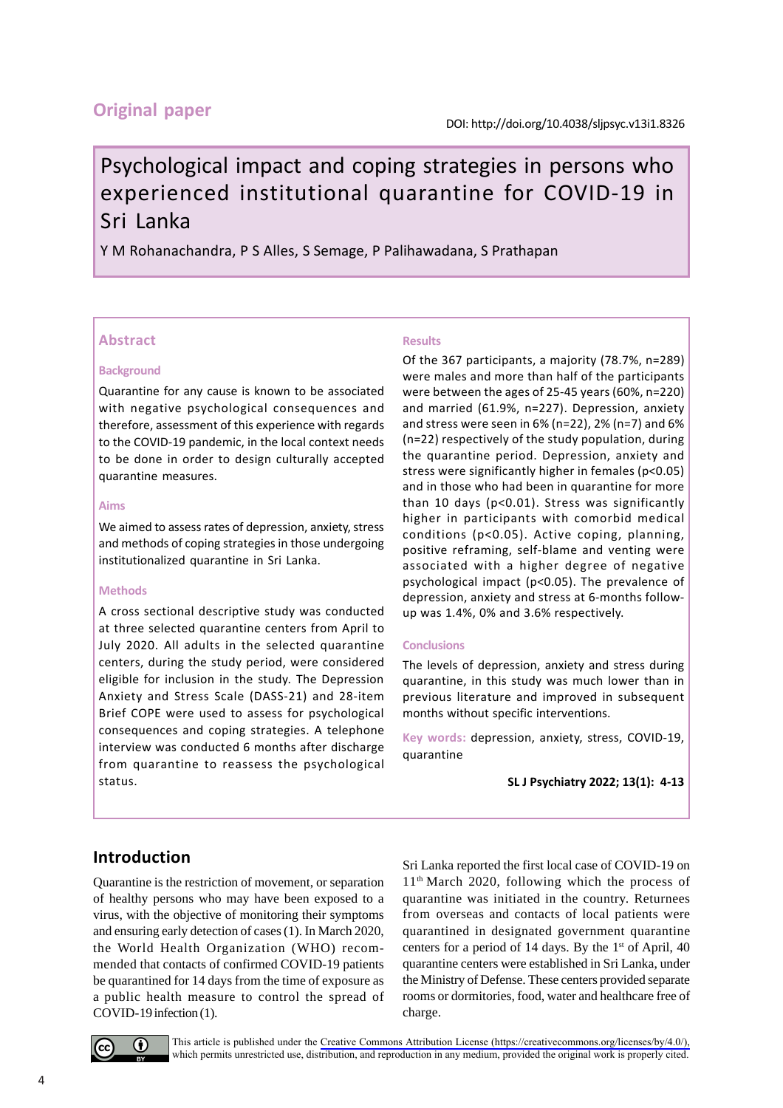# **Original paper**

# Psychological impact and coping strategies in persons who experienced institutional quarantine for COVID-19 in Sri Lanka

Y M Rohanachandra, P S Alles, S Semage, P Palihawadana, S Prathapan

### **Abstract**

#### **Background**

Quarantine for any cause is known to be associated with negative psychological consequences and therefore, assessment of this experience with regards to the COVID-19 pandemic, in the local context needs to be done in order to design culturally accepted quarantine measures.

### **Aims**

We aimed to assess rates of depression, anxiety, stress and methods of coping strategies in those undergoing institutionalized quarantine in Sri Lanka.

#### **Methods**

A cross sectional descriptive study was conducted at three selected quarantine centers from April to July 2020. All adults in the selected quarantine centers, during the study period, were considered eligible for inclusion in the study. The Depression Anxiety and Stress Scale (DASS-21) and 28-item Brief COPE were used to assess for psychological consequences and coping strategies. A telephone interview was conducted 6 months after discharge from quarantine to reassess the psychological status.

### **Results**

Of the 367 participants, a majority (78.7%, n=289) were males and more than half of the participants were between the ages of 25-45 years (60%, n=220) and married (61.9%, n=227). Depression, anxiety and stress were seen in 6% (n=22), 2% (n=7) and 6% (n=22) respectively of the study population, during the quarantine period. Depression, anxiety and stress were significantly higher in females (p<0.05) and in those who had been in quarantine for more than 10 days (p<0.01). Stress was significantly higher in participants with comorbid medical conditions (p<0.05). Active coping, planning, positive reframing, self-blame and venting were associated with a higher degree of negative psychological impact (p<0.05). The prevalence of depression, anxiety and stress at 6-months followup was 1.4%, 0% and 3.6% respectively.

#### **Conclusions**

The levels of depression, anxiety and stress during quarantine, in this study was much lower than in previous literature and improved in subsequent months without specific interventions.

**Key words:** depression, anxiety, stress, COVID-19, quarantine

**SL J Psychiatry 2022; 13(1): 4-13**

# **Introduction**

Quarantine is the restriction of movement, or separation of healthy persons who may have been exposed to a virus, with the objective of monitoring their symptoms and ensuring early detection of cases (1). In March 2020, the World Health Organization (WHO) recommended that contacts of confirmed COVID-19 patients be quarantined for 14 days from the time of exposure as a public health measure to control the spread of COVID-19 infection (1).

Sri Lanka reported the first local case of COVID-19 on  $11<sup>th</sup>$  March 2020, following which the process of quarantine was initiated in the country. Returnees from overseas and contacts of local patients were quarantined in designated government quarantine centers for a period of 14 days. By the  $1<sup>st</sup>$  of April, 40 quarantine centers were established in Sri Lanka, under the Ministry of Defense. These centers provided separate rooms or dormitories, food, water and healthcare free of charge.



This article is published under the [Creative Commons Attribution License \(https://creativecommons.org/licenses/by/4.0/\),](https://creativecommons.org/licenses/by/4.0/) which permits unrestricted use, distribution, and reproduction in any medium, provided the original work is properly cited.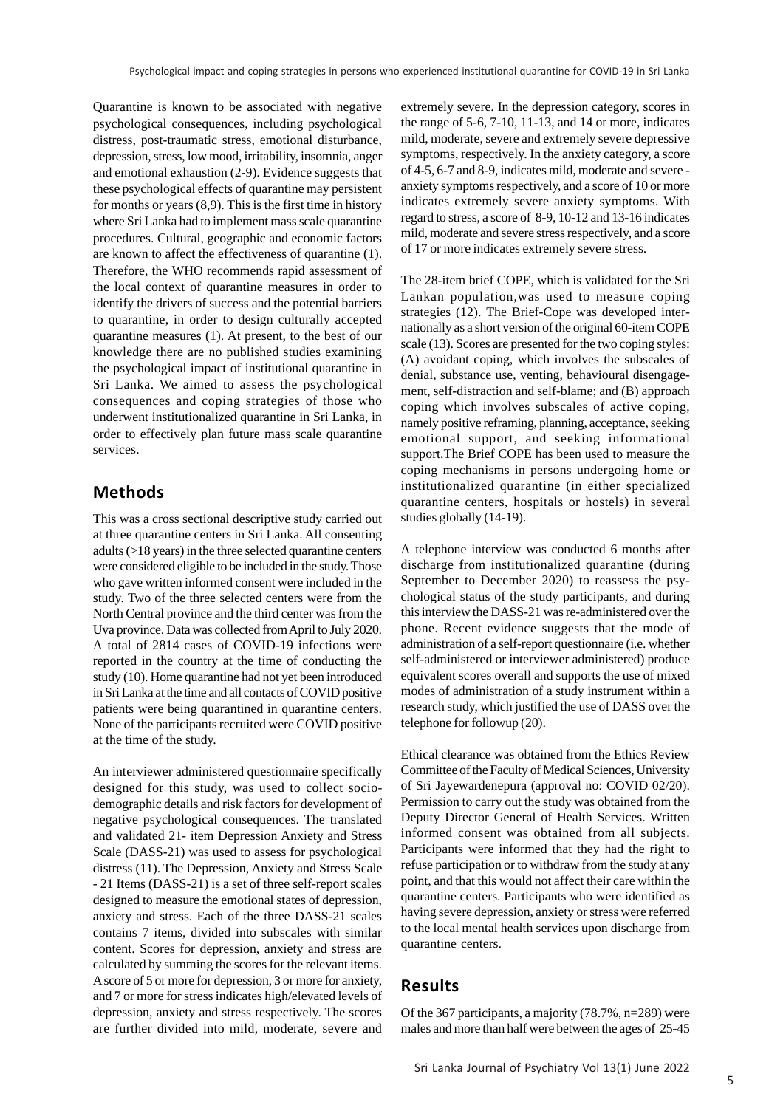Quarantine is known to be associated with negative psychological consequences, including psychological distress, post-traumatic stress, emotional disturbance, depression, stress, low mood, irritability, insomnia, anger and emotional exhaustion (2-9). Evidence suggests that these psychological effects of quarantine may persistent for months or years (8,9). This is the first time in history where Sri Lanka had to implement mass scale quarantine procedures. Cultural, geographic and economic factors are known to affect the effectiveness of quarantine (1). Therefore, the WHO recommends rapid assessment of the local context of quarantine measures in order to identify the drivers of success and the potential barriers to quarantine, in order to design culturally accepted quarantine measures (1). At present, to the best of our knowledge there are no published studies examining the psychological impact of institutional quarantine in Sri Lanka. We aimed to assess the psychological consequences and coping strategies of those who underwent institutionalized quarantine in Sri Lanka, in order to effectively plan future mass scale quarantine services.

### **Methods**

This was a cross sectional descriptive study carried out at three quarantine centers in Sri Lanka. All consenting adults (>18 years) in the three selected quarantine centers were considered eligible to be included in the study. Those who gave written informed consent were included in the study. Two of the three selected centers were from the North Central province and the third center was from the Uva province. Data was collected from April to July 2020. A total of 2814 cases of COVID-19 infections were reported in the country at the time of conducting the study (10). Home quarantine had not yet been introduced in Sri Lanka at the time and all contacts of COVID positive patients were being quarantined in quarantine centers. None of the participants recruited were COVID positive at the time of the study.

An interviewer administered questionnaire specifically designed for this study, was used to collect sociodemographic details and risk factors for development of negative psychological consequences. The translated and validated 21- item Depression Anxiety and Stress Scale (DASS-21) was used to assess for psychological distress (11). The Depression, Anxiety and Stress Scale - 21 Items (DASS-21) is a set of three self-report scales designed to measure the emotional states of depression, anxiety and stress. Each of the three DASS-21 scales contains 7 items, divided into subscales with similar content. Scores for depression, anxiety and stress are calculated by summing the scores for the relevant items. A score of 5 or more for depression, 3 or more for anxiety, and 7 or more for stress indicates high/elevated levels of depression, anxiety and stress respectively. The scores are further divided into mild, moderate, severe and

extremely severe. In the depression category, scores in the range of 5-6, 7-10, 11-13, and 14 or more, indicates mild, moderate, severe and extremely severe depressive symptoms, respectively. In the anxiety category, a score of 4-5, 6-7 and 8-9, indicates mild, moderate and severe anxiety symptoms respectively, and a score of 10 or more indicates extremely severe anxiety symptoms. With regard to stress, a score of 8-9, 10-12 and 13-16 indicates mild, moderate and severe stress respectively, and a score of 17 or more indicates extremely severe stress.

The 28-item brief COPE, which is validated for the Sri Lankan population,was used to measure coping strategies (12). The Brief-Cope was developed internationally as a short version of the original 60-item COPE scale (13). Scores are presented for the two coping styles: (A) avoidant coping, which involves the subscales of denial, substance use, venting, behavioural disengagement, self-distraction and self-blame; and (B) approach coping which involves subscales of active coping, namely positive reframing, planning, acceptance, seeking emotional support, and seeking informational support.The Brief COPE has been used to measure the coping mechanisms in persons undergoing home or institutionalized quarantine (in either specialized quarantine centers, hospitals or hostels) in several studies globally (14-19).

A telephone interview was conducted 6 months after discharge from institutionalized quarantine (during September to December 2020) to reassess the psychological status of the study participants, and during this interview the DASS-21 was re-administered over the phone. Recent evidence suggests that the mode of administration of a self-report questionnaire (i.e. whether self-administered or interviewer administered) produce equivalent scores overall and supports the use of mixed modes of administration of a study instrument within a research study, which justified the use of DASS over the telephone for followup (20).

Ethical clearance was obtained from the Ethics Review Committee of the Faculty of Medical Sciences, University of Sri Jayewardenepura (approval no: COVID 02/20). Permission to carry out the study was obtained from the Deputy Director General of Health Services. Written informed consent was obtained from all subjects. Participants were informed that they had the right to refuse participation or to withdraw from the study at any point, and that this would not affect their care within the quarantine centers. Participants who were identified as having severe depression, anxiety or stress were referred to the local mental health services upon discharge from quarantine centers.

### **Results**

Of the 367 participants, a majority (78.7%, n=289) were males and more than half were between the ages of 25-45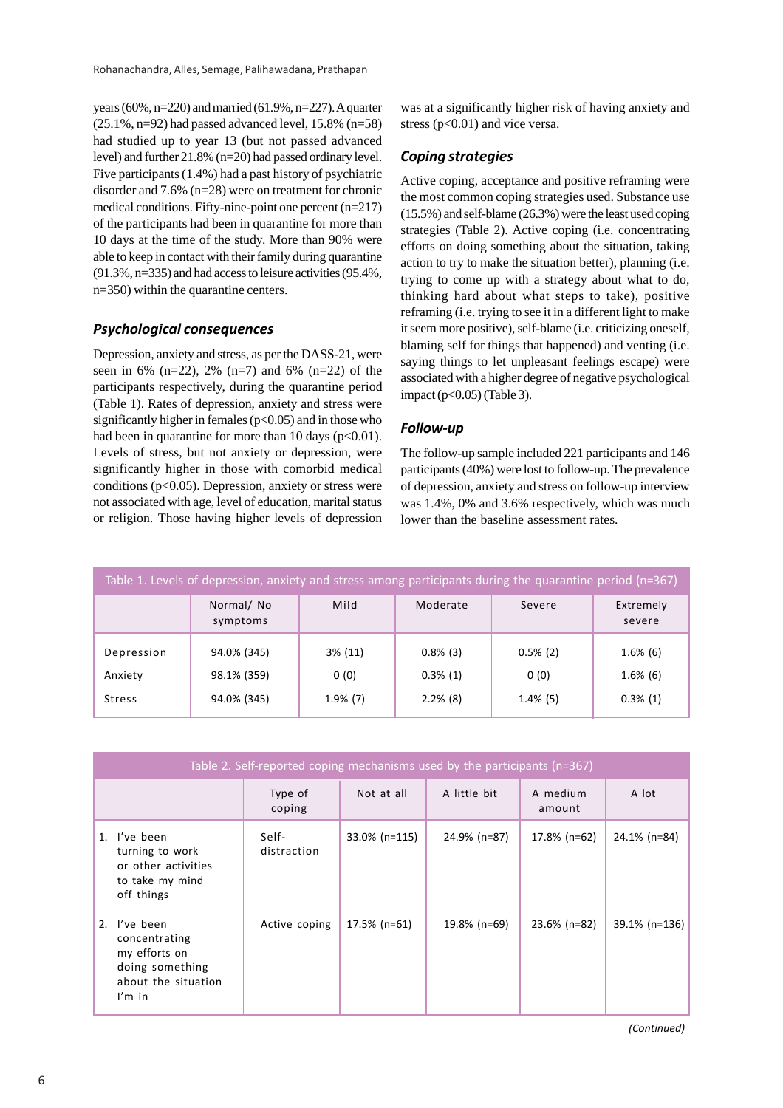years (60%, n=220) and married (61.9%, n=227). A quarter  $(25.1\%, n=92)$  had passed advanced level, 15.8%  $(n=58)$ had studied up to year 13 (but not passed advanced level) and further 21.8% (n=20) had passed ordinary level. Five participants (1.4%) had a past history of psychiatric disorder and 7.6% (n=28) were on treatment for chronic medical conditions. Fifty-nine-point one percent (n=217) of the participants had been in quarantine for more than 10 days at the time of the study. More than 90% were able to keep in contact with their family during quarantine (91.3%, n=335) and had access to leisure activities (95.4%, n=350) within the quarantine centers.

#### *Psychological consequences*

Depression, anxiety and stress, as per the DASS-21, were seen in 6% (n=22), 2% (n=7) and 6% (n=22) of the participants respectively, during the quarantine period (Table 1). Rates of depression, anxiety and stress were significantly higher in females ( $p<0.05$ ) and in those who had been in quarantine for more than 10 days ( $p<0.01$ ). Levels of stress, but not anxiety or depression, were significantly higher in those with comorbid medical conditions ( $p<0.05$ ). Depression, anxiety or stress were not associated with age, level of education, marital status or religion. Those having higher levels of depression was at a significantly higher risk of having anxiety and stress ( $p<0.01$ ) and vice versa.

#### *Coping strategies*

Active coping, acceptance and positive reframing were the most common coping strategies used. Substance use (15.5%) and self-blame (26.3%) were the least used coping strategies (Table 2). Active coping (i.e. concentrating efforts on doing something about the situation, taking action to try to make the situation better), planning (i.e. trying to come up with a strategy about what to do, thinking hard about what steps to take), positive reframing (i.e. trying to see it in a different light to make it seem more positive), self-blame (i.e. criticizing oneself, blaming self for things that happened) and venting (i.e. saying things to let unpleasant feelings escape) were associated with a higher degree of negative psychological impact ( $p<0.05$ ) (Table 3).

#### *Follow-up*

The follow-up sample included 221 participants and 146 participants (40%) were lost to follow-up. The prevalence of depression, anxiety and stress on follow-up interview was 1.4%, 0% and 3.6% respectively, which was much lower than the baseline assessment rates.

| Table 1. Levels of depression, anxiety and stress among participants during the quarantine period (n=367) |                            |                    |                            |                     |                            |  |  |  |
|-----------------------------------------------------------------------------------------------------------|----------------------------|--------------------|----------------------------|---------------------|----------------------------|--|--|--|
|                                                                                                           | Normal/No<br>symptoms      | Mild               | Moderate                   | Severe              | Extremely<br>severe        |  |  |  |
| Depression<br>Anxiety                                                                                     | 94.0% (345)<br>98.1% (359) | $3\%$ (11)<br>0(0) | $0.8\%$ (3)<br>$0.3\%$ (1) | $0.5\%$ (2)<br>0(0) | $1.6\%$ (6)<br>$1.6\%$ (6) |  |  |  |
| <b>Stress</b>                                                                                             | 94.0% (345)                | $1.9\%$ (7)        | $2.2\%$ (8)                | $1.4\%$ (5)         | $0.3\%$ (1)                |  |  |  |

| Table 2. Self-reported coping mechanisms used by the participants (n=367)                                              |  |                      |                  |              |                    |               |  |  |
|------------------------------------------------------------------------------------------------------------------------|--|----------------------|------------------|--------------|--------------------|---------------|--|--|
|                                                                                                                        |  | Type of<br>coping    | Not at all       | A little bit | A medium<br>amount | A lot         |  |  |
| 1. I've been<br>turning to work<br>or other activities<br>to take my mind<br>off things                                |  | Self-<br>distraction | $33.0\%$ (n=115) | 24.9% (n=87) | 17.8% (n=62)       | 24.1% (n=84)  |  |  |
| 2. I've been<br>concentrating<br>my efforts on<br>doing something<br>about the situation<br>$\mathsf{I}'\mathsf{m}$ in |  | Active coping        | $17.5\%$ (n=61)  | 19.8% (n=69) | 23.6% (n=82)       | 39.1% (n=136) |  |  |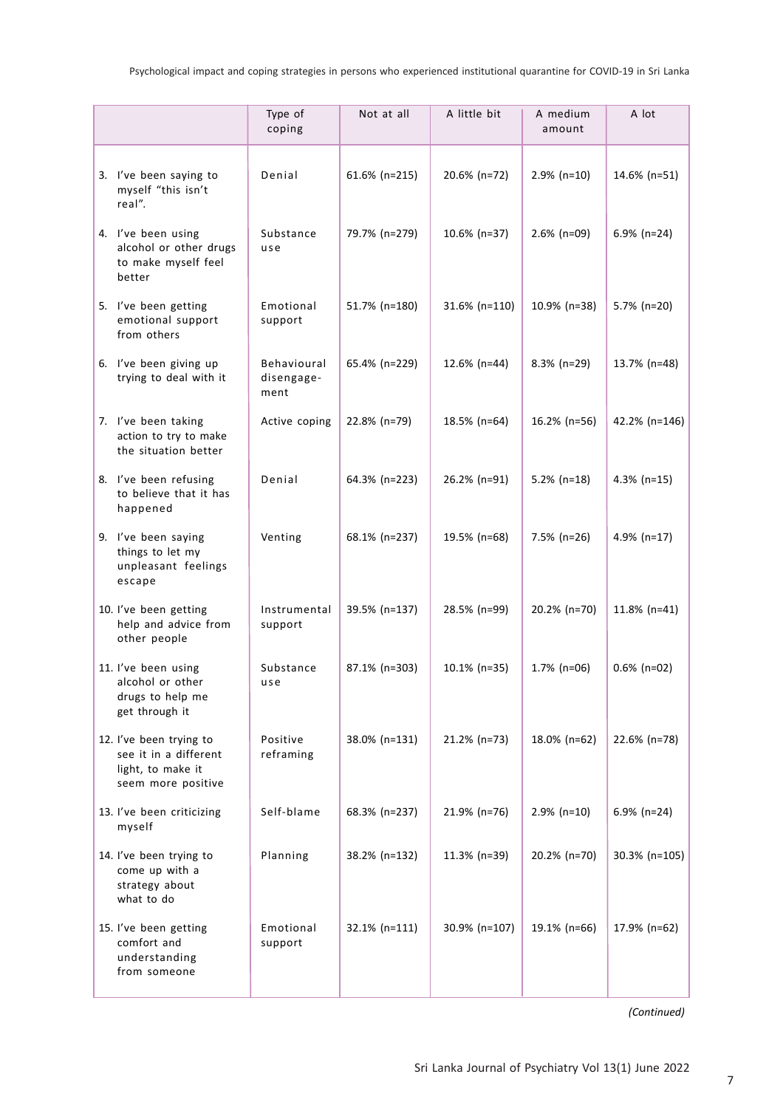|                                                                                             | Type of<br>coping                 | Not at all    | A little bit    | A medium<br>amount | A lot           |
|---------------------------------------------------------------------------------------------|-----------------------------------|---------------|-----------------|--------------------|-----------------|
| 3. I've been saying to<br>myself "this isn't<br>real".                                      | Denial                            | 61.6% (n=215) | 20.6% (n=72)    | $2.9\%$ (n=10)     | 14.6% (n=51)    |
| 4. I've been using<br>alcohol or other drugs<br>to make myself feel<br>better               | Substance<br>use                  | 79.7% (n=279) | 10.6% (n=37)    | $2.6\%$ (n=09)     | $6.9\%$ (n=24)  |
| 5. I've been getting<br>emotional support<br>from others                                    | Emotional<br>support              | 51.7% (n=180) | 31.6% (n=110)   | 10.9% (n=38)       | 5.7% (n=20)     |
| 6. I've been giving up<br>trying to deal with it                                            | Behavioural<br>disengage-<br>ment | 65.4% (n=229) | 12.6% (n=44)    | $8.3\%$ (n=29)     | 13.7% (n=48)    |
| 7. I've been taking<br>action to try to make<br>the situation better                        | Active coping                     | 22.8% (n=79)  | 18.5% (n=64)    | 16.2% (n=56)       | 42.2% (n=146)   |
| 8. I've been refusing<br>to believe that it has<br>happened                                 | Denial                            | 64.3% (n=223) | 26.2% (n=91)    | $5.2\%$ (n=18)     | $4.3\%$ (n=15)  |
| 9. I've been saying<br>things to let my<br>unpleasant feelings<br>escape                    | Venting                           | 68.1% (n=237) | 19.5% (n=68)    | $7.5\%$ (n=26)     | 4.9% $(n=17)$   |
| 10. I've been getting<br>help and advice from<br>other people                               | Instrumental<br>support           | 39.5% (n=137) | 28.5% (n=99)    | 20.2% (n=70)       | $11.8\%$ (n=41) |
| 11. I've been using<br>alcohol or other<br>drugs to help me<br>get through it               | Substance<br>use                  | 87.1% (n=303) | $10.1\%$ (n=35) | $1.7\%$ (n=06)     | $0.6\%$ (n=02)  |
| 12. I've been trying to<br>see it in a different<br>light, to make it<br>seem more positive | Positive<br>reframing             | 38.0% (n=131) | 21.2% (n=73)    | 18.0% (n=62)       | 22.6% (n=78)    |
| 13. I've been criticizing<br>myself                                                         | Self-blame                        | 68.3% (n=237) | 21.9% (n=76)    | $2.9\%$ (n=10)     | $6.9\%$ (n=24)  |
| 14. I've been trying to<br>come up with a<br>strategy about<br>what to do                   | Planning                          | 38.2% (n=132) | 11.3% (n=39)    | 20.2% (n=70)       | 30.3% (n=105)   |
| 15. I've been getting<br>comfort and<br>understanding<br>from someone                       | Emotional<br>support              | 32.1% (n=111) | 30.9% (n=107)   | $19.1\%$ (n=66)    | 17.9% (n=62)    |

*(Continued)*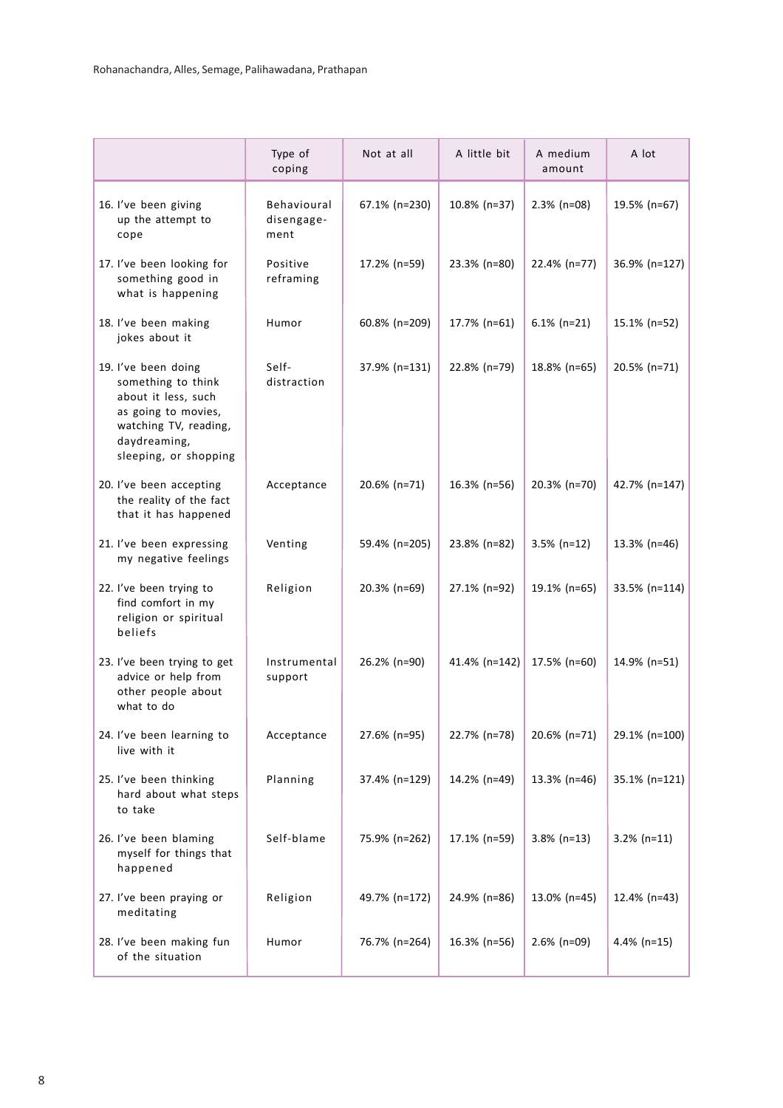|                                                                                                                                                           | Type of<br>coping                 | Not at all    | A little bit  | A medium<br>amount | A lot          |
|-----------------------------------------------------------------------------------------------------------------------------------------------------------|-----------------------------------|---------------|---------------|--------------------|----------------|
| 16. I've been giving<br>up the attempt to<br>cope                                                                                                         | Behavioural<br>disengage-<br>ment | 67.1% (n=230) | 10.8% (n=37)  | $2.3\%$ (n=08)     | 19.5% (n=67)   |
| 17. I've been looking for<br>something good in<br>what is happening                                                                                       | Positive<br>reframing             | 17.2% (n=59)  | 23.3% (n=80)  | 22.4% (n=77)       | 36.9% (n=127)  |
| 18. I've been making<br>jokes about it                                                                                                                    | Humor                             | 60.8% (n=209) | 17.7% (n=61)  | $6.1\%$ (n=21)     | 15.1% (n=52)   |
| 19. I've been doing<br>something to think<br>about it less, such<br>as going to movies,<br>watching TV, reading,<br>daydreaming,<br>sleeping, or shopping | Self-<br>distraction              | 37.9% (n=131) | 22.8% (n=79)  | 18.8% (n=65)       | 20.5% (n=71)   |
| 20. I've been accepting<br>the reality of the fact<br>that it has happened                                                                                | Acceptance                        | 20.6% (n=71)  | 16.3% (n=56)  | 20.3% (n=70)       | 42.7% (n=147)  |
| 21. I've been expressing<br>my negative feelings                                                                                                          | Venting                           | 59.4% (n=205) | 23.8% (n=82)  | $3.5\%$ (n=12)     | 13.3% (n=46)   |
| 22. I've been trying to<br>find comfort in my<br>religion or spiritual<br>beliefs                                                                         | Religion                          | 20.3% (n=69)  | 27.1% (n=92)  | 19.1% (n=65)       | 33.5% (n=114)  |
| 23. I've been trying to get<br>advice or help from<br>other people about<br>what to do                                                                    | Instrumental<br>support           | 26.2% (n=90)  | 41.4% (n=142) | 17.5% (n=60)       | 14.9% (n=51)   |
| 24. I've been learning to<br>live with it                                                                                                                 | Acceptance                        | 27.6% (n=95)  | 22.7% (n=78)  | 20.6% (n=71)       | 29.1% (n=100)  |
| 25. I've been thinking<br>hard about what steps<br>to take                                                                                                | Planning                          | 37.4% (n=129) | 14.2% (n=49)  | 13.3% (n=46)       | 35.1% (n=121)  |
| 26. I've been blaming<br>myself for things that<br>happened                                                                                               | Self-blame                        | 75.9% (n=262) | 17.1% (n=59)  | $3.8\%$ (n=13)     | $3.2\%$ (n=11) |
| 27. I've been praying or<br>meditating                                                                                                                    | Religion                          | 49.7% (n=172) | 24.9% (n=86)  | 13.0% (n=45)       | 12.4% (n=43)   |
| 28. I've been making fun<br>of the situation                                                                                                              | Humor                             | 76.7% (n=264) | 16.3% (n=56)  | 2.6% (n=09)        | $4.4\%$ (n=15) |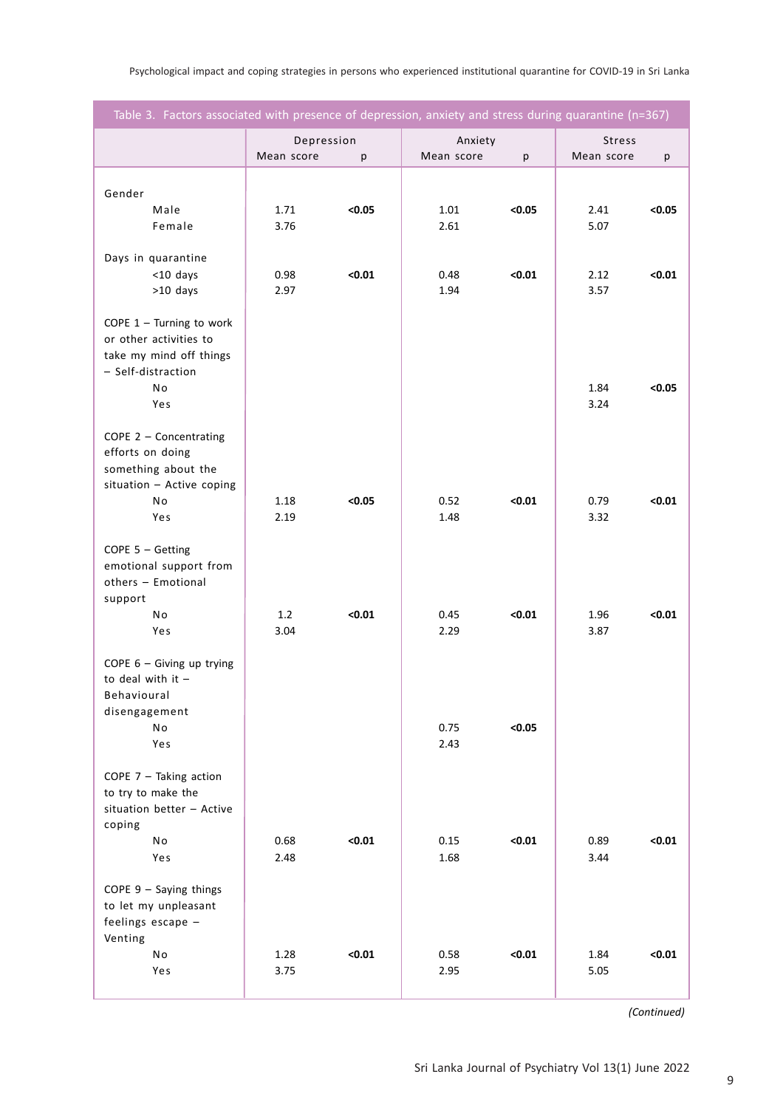Psychological impact and coping strategies in persons who experienced institutional quarantine for COVID-19 in Sri Lanka

| Table 3. Factors associated with presence of depression, anxiety and stress during quarantine (n=367) |                          |        |                       |        |                             |        |  |
|-------------------------------------------------------------------------------------------------------|--------------------------|--------|-----------------------|--------|-----------------------------|--------|--|
|                                                                                                       | Depression<br>Mean score | р      | Anxiety<br>Mean score | р      | <b>Stress</b><br>Mean score | p      |  |
|                                                                                                       |                          |        |                       |        |                             |        |  |
| Gender<br>Male                                                                                        | 1.71                     | < 0.05 | 1.01                  | < 0.05 | 2.41                        | < 0.05 |  |
| Female                                                                                                | 3.76                     |        | 2.61                  |        | 5.07                        |        |  |
| Days in quarantine                                                                                    |                          |        |                       |        |                             |        |  |
| $<$ 10 days                                                                                           | 0.98                     | < 0.01 | 0.48                  | < 0.01 | 2.12                        | < 0.01 |  |
| $>10$ days                                                                                            | 2.97                     |        | 1.94                  |        | 3.57                        |        |  |
| COPE $1$ – Turning to work                                                                            |                          |        |                       |        |                             |        |  |
| or other activities to                                                                                |                          |        |                       |        |                             |        |  |
| take my mind off things                                                                               |                          |        |                       |        |                             |        |  |
| - Self-distraction<br>No                                                                              |                          |        |                       |        | 1.84                        | < 0.05 |  |
| Yes                                                                                                   |                          |        |                       |        | 3.24                        |        |  |
|                                                                                                       |                          |        |                       |        |                             |        |  |
| COPE $2$ – Concentrating<br>efforts on doing                                                          |                          |        |                       |        |                             |        |  |
| something about the                                                                                   |                          |        |                       |        |                             |        |  |
| situation - Active coping                                                                             |                          |        |                       |        |                             |        |  |
| No<br>Yes                                                                                             | 1.18<br>2.19             | < 0.05 | 0.52<br>1.48          | < 0.01 | 0.79<br>3.32                | < 0.01 |  |
|                                                                                                       |                          |        |                       |        |                             |        |  |
| COPE $5 -$ Getting                                                                                    |                          |        |                       |        |                             |        |  |
| emotional support from<br>others - Emotional                                                          |                          |        |                       |        |                             |        |  |
| support                                                                                               |                          |        |                       |        |                             |        |  |
| No                                                                                                    | 1.2                      | < 0.01 | 0.45                  | < 0.01 | 1.96                        | < 0.01 |  |
| Yes                                                                                                   | 3.04                     |        | 2.29                  |        | 3.87                        |        |  |
| COPE 6 - Giving up trying                                                                             |                          |        |                       |        |                             |        |  |
| to deal with it $-$                                                                                   |                          |        |                       |        |                             |        |  |
| Behavioural<br>disengagement                                                                          |                          |        |                       |        |                             |        |  |
| No                                                                                                    |                          |        | 0.75                  | < 0.05 |                             |        |  |
| Yes                                                                                                   |                          |        | 2.43                  |        |                             |        |  |
| COPE $7$ - Taking action                                                                              |                          |        |                       |        |                             |        |  |
| to try to make the                                                                                    |                          |        |                       |        |                             |        |  |
| situation better - Active                                                                             |                          |        |                       |        |                             |        |  |
| coping<br>No                                                                                          | 0.68                     | < 0.01 | 0.15                  | < 0.01 | 0.89                        | $0.01$ |  |
| Yes                                                                                                   | 2.48                     |        | 1.68                  |        | 3.44                        |        |  |
|                                                                                                       |                          |        |                       |        |                             |        |  |
| COPE $9 -$ Saying things<br>to let my unpleasant                                                      |                          |        |                       |        |                             |        |  |
| feelings escape -                                                                                     |                          |        |                       |        |                             |        |  |
| Venting                                                                                               |                          |        |                       |        |                             |        |  |
| No<br>Yes                                                                                             | 1.28<br>3.75             | < 0.01 | 0.58<br>2.95          | < 0.01 | 1.84<br>5.05                | < 0.01 |  |
|                                                                                                       |                          |        |                       |        |                             |        |  |

*(Continued)*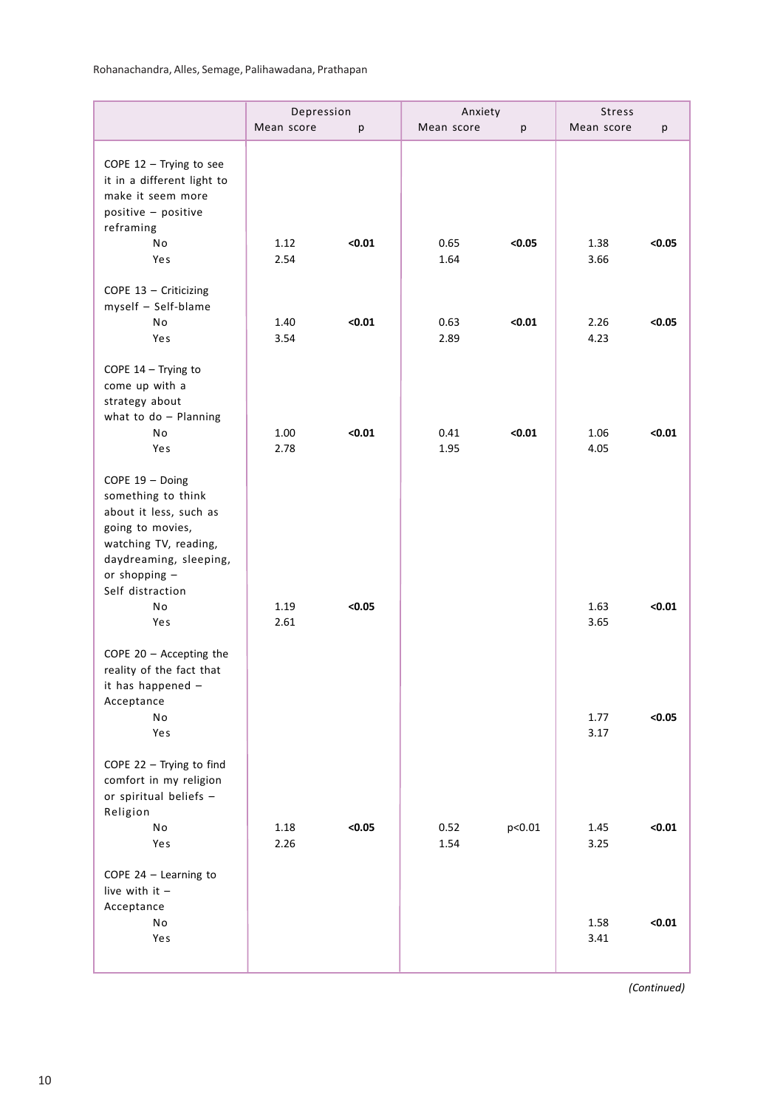|                                                                                                                                                                                   | Depression   |        | Anxiety      |        | Stress               |        |
|-----------------------------------------------------------------------------------------------------------------------------------------------------------------------------------|--------------|--------|--------------|--------|----------------------|--------|
|                                                                                                                                                                                   | Mean score   | p      | Mean score   | p      | Mean score           | р      |
| COPE $12$ - Trying to see<br>it in a different light to<br>make it seem more<br>positive - positive                                                                               |              |        |              |        |                      |        |
| reframing<br>No<br>Yes                                                                                                                                                            | 1.12<br>2.54 | < 0.01 | 0.65<br>1.64 | < 0.05 | 1.38<br>3.66         | < 0.05 |
| COPE 13 - Criticizing<br>myself - Self-blame<br>No<br>Yes                                                                                                                         | 1.40<br>3.54 | < 0.01 | 0.63<br>2.89 | $0.01$ | 2.26<br>4.23         | < 0.05 |
| COPE 14 - Trying to<br>come up with a<br>strategy about<br>what to $do$ - Planning<br>No<br>Yes                                                                                   | 1.00<br>2.78 | < 0.01 | 0.41<br>1.95 | $0.01$ | 1.06<br>4.05         | $0.01$ |
| COPE 19 - Doing<br>something to think<br>about it less, such as<br>going to movies,<br>watching TV, reading,<br>daydreaming, sleeping,<br>or shopping -<br>Self distraction<br>No | 1.19         | < 0.05 |              |        | 1.63                 | $0.01$ |
| Yes<br>COPE $20 -$ Accepting the<br>reality of the fact that<br>it has happened -<br>Acceptance<br>No<br>Yes                                                                      | 2.61         |        |              |        | 3.65<br>1.77<br>3.17 | < 0.05 |
| COPE $22 -$ Trying to find<br>comfort in my religion<br>or spiritual beliefs -<br>Religion                                                                                        |              |        |              |        |                      |        |
| No<br>Yes<br>COPE $24$ - Learning to<br>live with it $-$                                                                                                                          | 1.18<br>2.26 | < 0.05 | 0.52<br>1.54 | p<0.01 | 1.45<br>3.25         | $0.01$ |
| Acceptance<br>No<br>Yes                                                                                                                                                           |              |        |              |        | 1.58<br>3.41         | $0.01$ |

*(Continued)*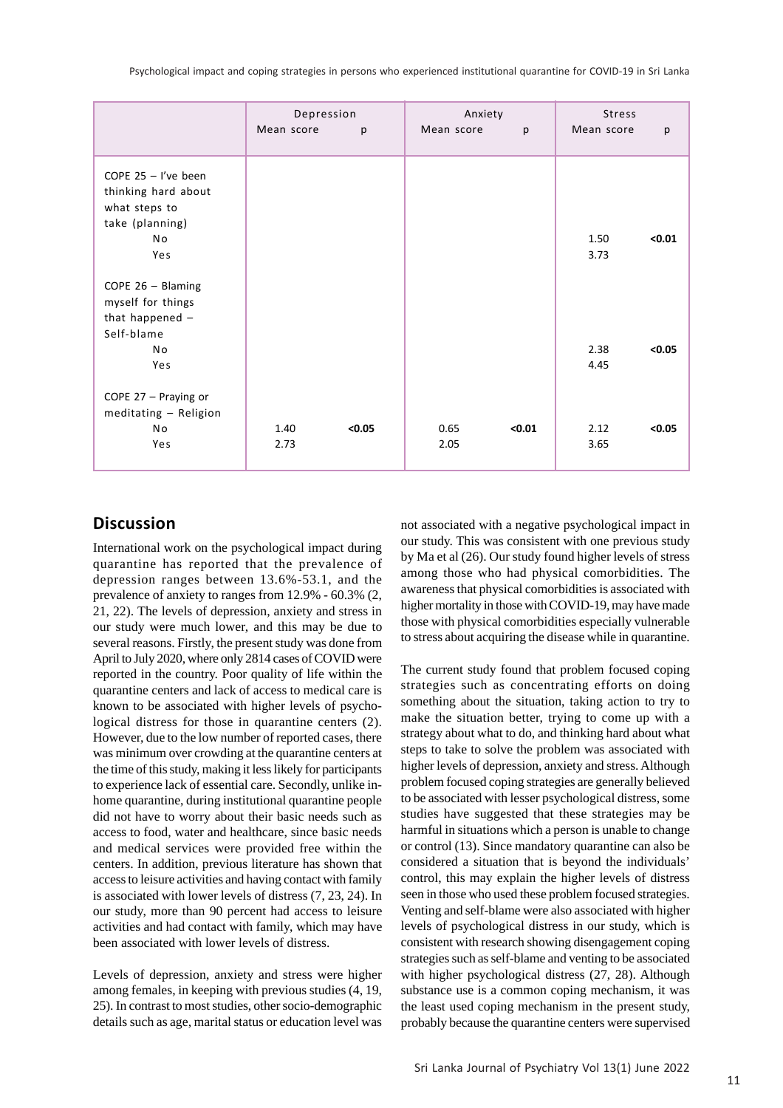Psychological impact and coping strategies in persons who experienced institutional quarantine for COVID-19 in Sri Lanka

|                                                                                                | Depression   |        | Anxiety      |        | <b>Stress</b> |        |
|------------------------------------------------------------------------------------------------|--------------|--------|--------------|--------|---------------|--------|
|                                                                                                | Mean score   | p      | Mean score   | p      | Mean score    | p      |
| COPE $25 - l$ 've been<br>thinking hard about<br>what steps to<br>take (planning)<br>No<br>Yes |              |        |              |        | 1.50<br>3.73  | < 0.01 |
| COPE $26 - Blaming$<br>myself for things<br>that happened $-$<br>Self-blame<br>No<br>Yes       |              |        |              |        | 2.38<br>4.45  | < 0.05 |
| COPE 27 - Praying or<br>meditating - Religion<br>No<br>Yes                                     | 1.40<br>2.73 | < 0.05 | 0.65<br>2.05 | < 0.01 | 2.12<br>3.65  | < 0.05 |

# **Discussion**

International work on the psychological impact during quarantine has reported that the prevalence of depression ranges between 13.6%-53.1, and the prevalence of anxiety to ranges from 12.9% - 60.3% (2, 21, 22). The levels of depression, anxiety and stress in our study were much lower, and this may be due to several reasons. Firstly, the present study was done from April to July 2020, where only 2814 cases of COVID were reported in the country. Poor quality of life within the quarantine centers and lack of access to medical care is known to be associated with higher levels of psychological distress for those in quarantine centers (2). However, due to the low number of reported cases, there was minimum over crowding at the quarantine centers at the time of this study, making it less likely for participants to experience lack of essential care. Secondly, unlike inhome quarantine, during institutional quarantine people did not have to worry about their basic needs such as access to food, water and healthcare, since basic needs and medical services were provided free within the centers. In addition, previous literature has shown that access to leisure activities and having contact with family is associated with lower levels of distress (7, 23, 24). In our study, more than 90 percent had access to leisure activities and had contact with family, which may have been associated with lower levels of distress.

Levels of depression, anxiety and stress were higher among females, in keeping with previous studies (4, 19, 25). In contrast to most studies, other socio-demographic details such as age, marital status or education level was not associated with a negative psychological impact in our study. This was consistent with one previous study by Ma et al (26). Our study found higher levels of stress among those who had physical comorbidities. The awareness that physical comorbidities is associated with higher mortality in those with COVID-19, may have made those with physical comorbidities especially vulnerable to stress about acquiring the disease while in quarantine.

The current study found that problem focused coping strategies such as concentrating efforts on doing something about the situation, taking action to try to make the situation better, trying to come up with a strategy about what to do, and thinking hard about what steps to take to solve the problem was associated with higher levels of depression, anxiety and stress. Although problem focused coping strategies are generally believed to be associated with lesser psychological distress, some studies have suggested that these strategies may be harmful in situations which a person is unable to change or control (13). Since mandatory quarantine can also be considered a situation that is beyond the individuals' control, this may explain the higher levels of distress seen in those who used these problem focused strategies. Venting and self-blame were also associated with higher levels of psychological distress in our study, which is consistent with research showing disengagement coping strategies such as self-blame and venting to be associated with higher psychological distress (27, 28). Although substance use is a common coping mechanism, it was the least used coping mechanism in the present study, probably because the quarantine centers were supervised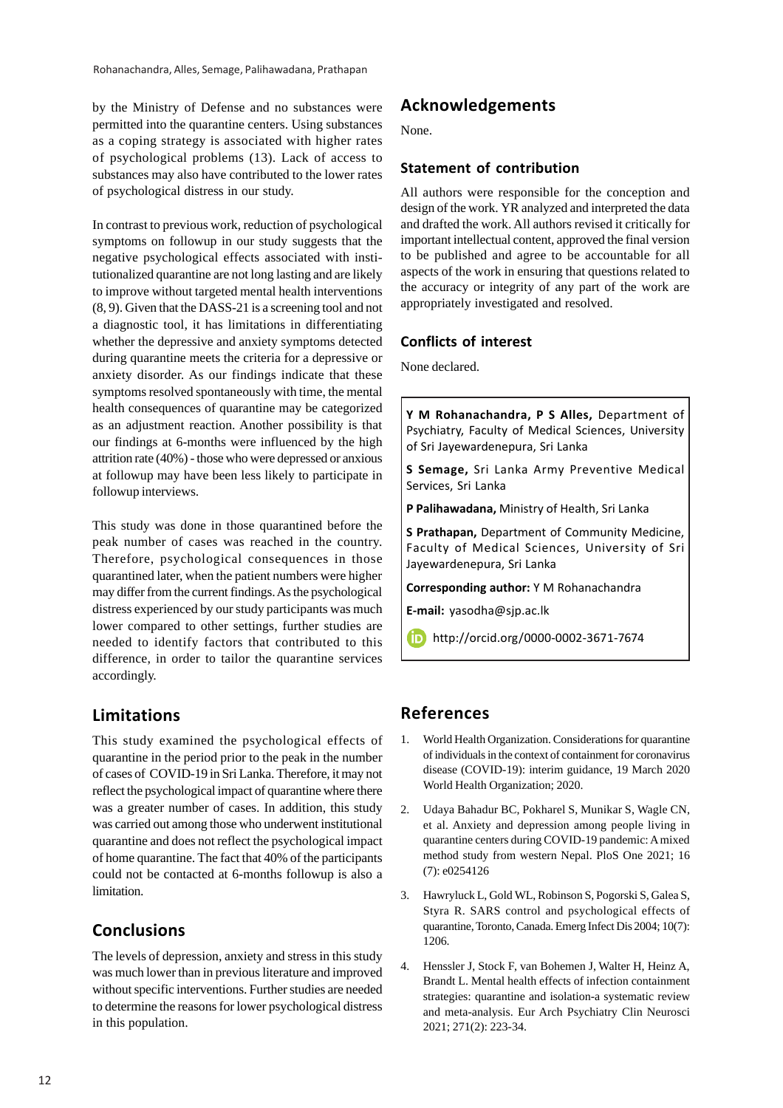by the Ministry of Defense and no substances were permitted into the quarantine centers. Using substances as a coping strategy is associated with higher rates of psychological problems (13). Lack of access to substances may also have contributed to the lower rates of psychological distress in our study.

In contrast to previous work, reduction of psychological symptoms on followup in our study suggests that the negative psychological effects associated with institutionalized quarantine are not long lasting and are likely to improve without targeted mental health interventions (8, 9). Given that the DASS-21 is a screening tool and not a diagnostic tool, it has limitations in differentiating whether the depressive and anxiety symptoms detected during quarantine meets the criteria for a depressive or anxiety disorder. As our findings indicate that these symptoms resolved spontaneously with time, the mental health consequences of quarantine may be categorized as an adjustment reaction. Another possibility is that our findings at 6-months were influenced by the high attrition rate (40%) - those who were depressed or anxious at followup may have been less likely to participate in followup interviews.

This study was done in those quarantined before the peak number of cases was reached in the country. Therefore, psychological consequences in those quarantined later, when the patient numbers were higher may differ from the current findings. As the psychological distress experienced by our study participants was much lower compared to other settings, further studies are needed to identify factors that contributed to this difference, in order to tailor the quarantine services accordingly.

# **Limitations**

This study examined the psychological effects of quarantine in the period prior to the peak in the number of cases of COVID-19 in Sri Lanka. Therefore, it may not reflect the psychological impact of quarantine where there was a greater number of cases. In addition, this study was carried out among those who underwent institutional quarantine and does not reflect the psychological impact of home quarantine. The fact that 40% of the participants could not be contacted at 6-months followup is also a limitation.

# **Conclusions**

The levels of depression, anxiety and stress in this study was much lower than in previous literature and improved without specific interventions. Further studies are needed to determine the reasons for lower psychological distress in this population.

# **Acknowledgements**

None.

### **Statement of contribution**

All authors were responsible for the conception and design of the work. YR analyzed and interpreted the data and drafted the work. All authors revised it critically for important intellectual content, approved the final version to be published and agree to be accountable for all aspects of the work in ensuring that questions related to the accuracy or integrity of any part of the work are appropriately investigated and resolved.

### **Conflicts of interest**

None declared.

**Y M Rohanachandra, P S Alles,** Department of Psychiatry, Faculty of Medical Sciences, University of Sri Jayewardenepura, Sri Lanka

**S Semage,** Sri Lanka Army Preventive Medical Services, Sri Lanka

**P Palihawadana,** Ministry of Health, Sri Lanka

**S Prathapan,** Department of Community Medicine, Faculty of Medical Sciences, University of Sri Jayewardenepura, Sri Lanka

**Corresponding author:** Y M Rohanachandra

**E-mail:** yasodha@sjp.ac.lk

http://orcid.org/0000-0002-3671-7674

# **References**

- 1. World Health Organization. Considerations for quarantine of individuals in the context of containment for coronavirus disease (COVID-19): interim guidance, 19 March 2020 World Health Organization; 2020.
- 2. Udaya Bahadur BC, Pokharel S, Munikar S, Wagle CN, et al. Anxiety and depression among people living in quarantine centers during COVID-19 pandemic: A mixed method study from western Nepal. PloS One 2021; 16 (7): e0254126
- 3. Hawryluck L, Gold WL, Robinson S, Pogorski S, Galea S, Styra R. SARS control and psychological effects of quarantine, Toronto, Canada. Emerg Infect Dis 2004; 10(7): 1206.
- 4. Henssler J, Stock F, van Bohemen J, Walter H, Heinz A, Brandt L. Mental health effects of infection containment strategies: quarantine and isolation-a systematic review and meta-analysis. Eur Arch Psychiatry Clin Neurosci 2021; 271(2): 223-34.